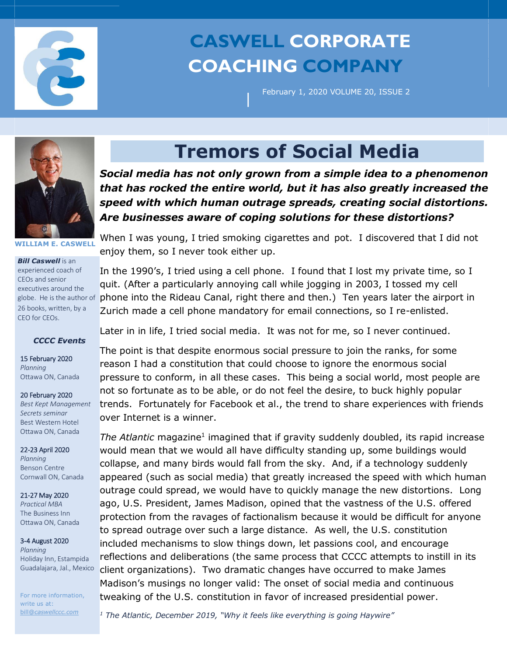

# **CASWELL CORPORATE COACHING COMPANY**

|

February 1, 2020 VOLUME 20, ISSUE 2



**WILLIAM E. CASWELL**

*Bill Caswell* is an experienced coach of CEOs and senior executives around the globe. He is the author of 26 books, written, by a CEO for CEOs.

### *CCCC Events*

15 February 2020 *Planning*  Ottawa ON, Canada

#### 20 February 2020

*Best Kept Management Secrets seminar*  Best Western Hotel Ottawa ON, Canada

#### 22-23 April 2020

*Planning* Benson Centre Cornwall ON, Canada

## 21-27 May 2020

*Practical MBA*  The Business Inn Ottawa ON, Canada

#### 3-4 August 2020 *Planning*  Holiday Inn, Estampida Guadalajara, Jal., Mexico

For more information, write us at: bill@*caswellccc.com*

## **Tremors of Social Media**

*Social media has not only grown from a simple idea to a phenomenon that has rocked the entire world, but it has also greatly increased the speed with which human outrage spreads, creating social distortions. Are businesses aware of coping solutions for these distortions?*

When I was young, I tried smoking cigarettes and pot. I discovered that I did not enjoy them, so I never took either up.

In the 1990's, I tried using a cell phone. I found that I lost my private time, so I quit. (After a particularly annoying call while jogging in 2003, I tossed my cell phone into the Rideau Canal, right there and then.) Ten years later the airport in Zurich made a cell phone mandatory for email connections, so I re-enlisted.

Later in in life, I tried social media. It was not for me, so I never continued.

The point is that despite enormous social pressure to join the ranks, for some reason I had a constitution that could choose to ignore the enormous social pressure to conform, in all these cases. This being a social world, most people are not so fortunate as to be able, or do not feel the desire, to buck highly popular trends. Fortunately for Facebook et al., the trend to share experiences with friends over Internet is a winner.

The Atlantic magazine<sup>1</sup> imagined that if gravity suddenly doubled, its rapid increase would mean that we would all have difficulty standing up, some buildings would collapse, and many birds would fall from the sky. And, if a technology suddenly appeared (such as social media) that greatly increased the speed with which human outrage could spread, we would have to quickly manage the new distortions. Long ago, U.S. President, James Madison, opined that the vastness of the U.S. offered protection from the ravages of factionalism because it would be difficult for anyone to spread outrage over such a large distance. As well, the U.S. constitution included mechanisms to slow things down, let passions cool, and encourage reflections and deliberations (the same process that CCCC attempts to instill in its client organizations). Two dramatic changes have occurred to make James Madison's musings no longer valid: The onset of social media and continuous tweaking of the U.S. constitution in favor of increased presidential power.

*<sup>1</sup> The Atlantic, December 2019, "Why it feels like everything is going Haywire"*